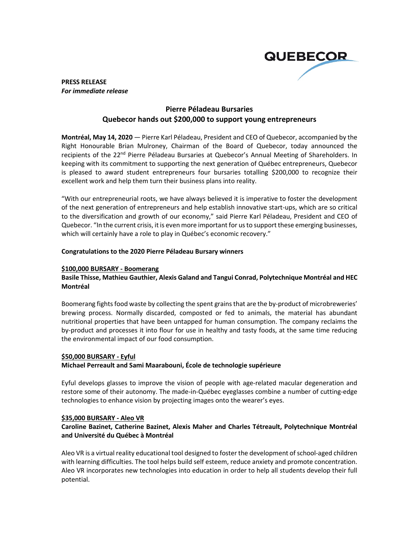

#### **PRESS RELEASE** *For immediate release*

# **Pierre Péladeau Bursaries Quebecor hands out \$200,000 to support young entrepreneurs**

**Montréal, May 14, 2020** — Pierre Karl Péladeau, President and CEO of Quebecor, accompanied by the Right Honourable Brian Mulroney, Chairman of the Board of Quebecor, today announced the recipients of the 22<sup>nd</sup> Pierre Péladeau Bursaries at Quebecor's Annual Meeting of Shareholders. In keeping with its commitment to supporting the next generation of Québec entrepreneurs, Quebecor is pleased to award student entrepreneurs four bursaries totalling \$200,000 to recognize their excellent work and help them turn their business plans into reality.

"With our entrepreneurial roots, we have always believed it is imperative to foster the development of the next generation of entrepreneurs and help establish innovative start-ups, which are so critical to the diversification and growth of our economy," said Pierre Karl Péladeau, President and CEO of Quebecor. "In the current crisis, it is even more important for us to support these emerging businesses, which will certainly have a role to play in Québec's economic recovery."

#### **Congratulations to the 2020 Pierre Péladeau Bursary winners**

#### **\$100,000 BURSARY - Boomerang**

### **Basile Thisse, Mathieu Gauthier, Alexis Galand and Tangui Conrad, Polytechnique Montréal and HEC Montréal**

Boomerang fights food waste by collecting the spent grains that are the by-product of microbreweries' brewing process. Normally discarded, composted or fed to animals, the material has abundant nutritional properties that have been untapped for human consumption. The company reclaims the by-product and processes it into flour for use in healthy and tasty foods, at the same time reducing the environmental impact of our food consumption.

#### **\$50,000 BURSARY - Eyful**

#### **Michael Perreault and Sami Maarabouni, École de technologie supérieure**

Eyful develops glasses to improve the vision of people with age-related macular degeneration and restore some of their autonomy. The made-in-Québec eyeglasses combine a number of cutting-edge technologies to enhance vision by projecting images onto the wearer's eyes.

#### **\$35,000 BURSARY - Aleo VR**

## **Caroline Bazinet, Catherine Bazinet, Alexis Maher and Charles Tétreault, Polytechnique Montréal and Université du Québec à Montréal**

Aleo VR is a virtual reality educational tool designed to foster the development of school-aged children with learning difficulties. The tool helps build self esteem, reduce anxiety and promote concentration. Aleo VR incorporates new technologies into education in order to help all students develop their full potential.